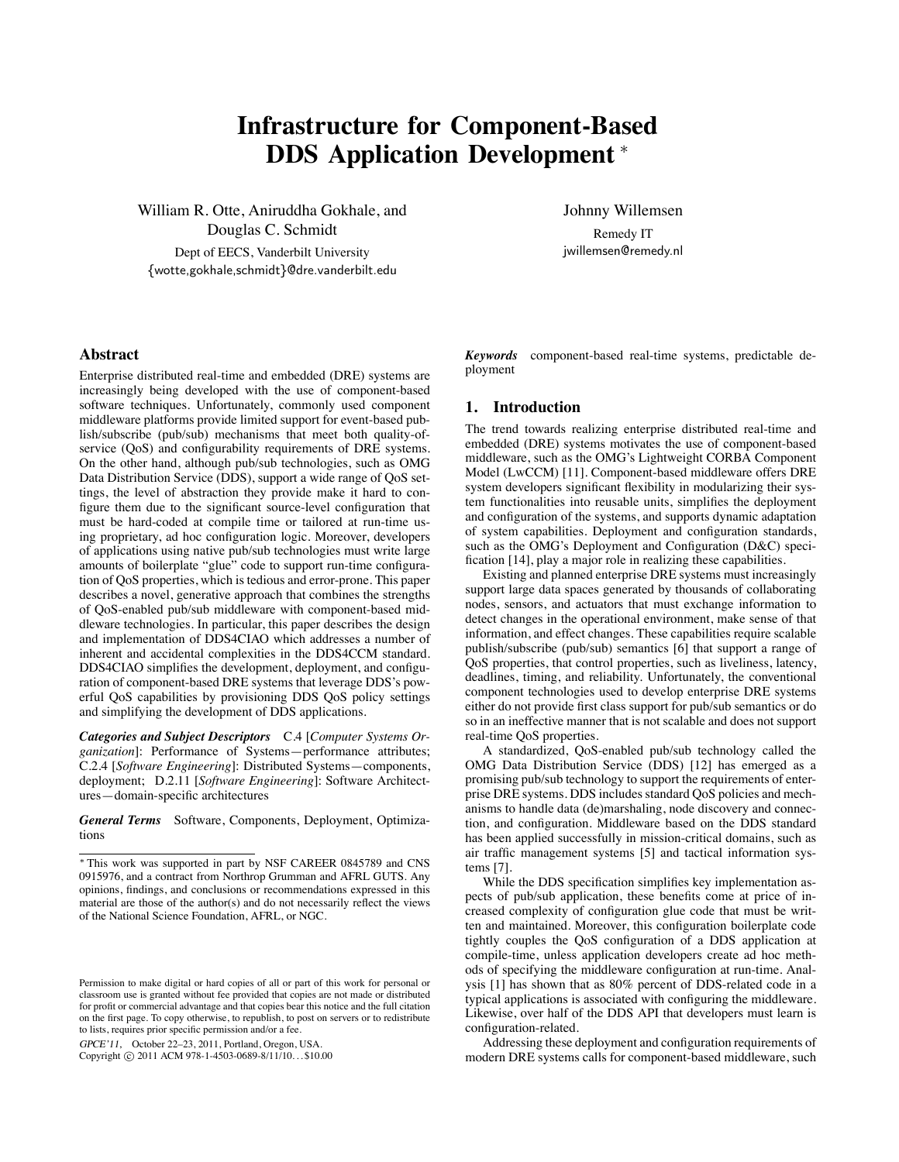# **Infrastructure for Component-Based DDS Application Development** <sup>∗</sup>

William R. Otte, Aniruddha Gokhale, and Douglas C. Schmidt Dept of EECS, Vanderbilt University {wotte,gokhale,schmidt}@dre.vanderbilt.edu

Johnny Willemsen Remedy IT jwillemsen@remedy.nl

# **Abstract**

Enterprise distributed real-time and embedded (DRE) systems are increasingly being developed with the use of component-based software techniques. Unfortunately, commonly used component middleware platforms provide limited support for event-based publish/subscribe (pub/sub) mechanisms that meet both quality-ofservice (QoS) and configurability requirements of DRE systems. On the other hand, although pub/sub technologies, such as OMG Data Distribution Service (DDS), support a wide range of QoS settings, the level of abstraction they provide make it hard to configure them due to the significant source-level configuration that must be hard-coded at compile time or tailored at run-time using proprietary, ad hoc configuration logic. Moreover, developers of applications using native pub/sub technologies must write large amounts of boilerplate "glue" code to support run-time configuration of QoS properties, which is tedious and error-prone. This paper describes a novel, generative approach that combines the strengths of QoS-enabled pub/sub middleware with component-based middleware technologies. In particular, this paper describes the design and implementation of DDS4CIAO which addresses a number of inherent and accidental complexities in the DDS4CCM standard. DDS4CIAO simplifies the development, deployment, and configuration of component-based DRE systems that leverage DDS's powerful QoS capabilities by provisioning DDS QoS policy settings and simplifying the development of DDS applications.

*Categories and Subject Descriptors* C.4 [*Computer Systems Organization*]: Performance of Systems—performance attributes; C.2.4 [*Software Engineering*]: Distributed Systems—components, deployment; D.2.11 [*Software Engineering*]: Software Architectures—domain-specific architectures

*General Terms* Software, Components, Deployment, Optimizations

GPCE'11, October 22–23, 2011, Portland, Oregon, USA.

Copyright © 2011 ACM 978-1-4503-0689-8/11/10...\$10.00

*Keywords* component-based real-time systems, predictable deployment

## **1. Introduction**

The trend towards realizing enterprise distributed real-time and embedded (DRE) systems motivates the use of component-based middleware, such as the OMG's Lightweight CORBA Component Model (LwCCM) [11]. Component-based middleware offers DRE system developers significant flexibility in modularizing their system functionalities into reusable units, simplifies the deployment and configuration of the systems, and supports dynamic adaptation of system capabilities. Deployment and configuration standards, such as the OMG's Deployment and Configuration (D&C) specification [14], play a major role in realizing these capabilities.

Existing and planned enterprise DRE systems must increasingly support large data spaces generated by thousands of collaborating nodes, sensors, and actuators that must exchange information to detect changes in the operational environment, make sense of that information, and effect changes. These capabilities require scalable publish/subscribe (pub/sub) semantics [6] that support a range of QoS properties, that control properties, such as liveliness, latency, deadlines, timing, and reliability. Unfortunately, the conventional component technologies used to develop enterprise DRE systems either do not provide first class support for pub/sub semantics or do so in an ineffective manner that is not scalable and does not support real-time QoS properties.

A standardized, QoS-enabled pub/sub technology called the OMG Data Distribution Service (DDS) [12] has emerged as a promising pub/sub technology to support the requirements of enterprise DRE systems. DDS includes standard QoS policies and mechanisms to handle data (de)marshaling, node discovery and connection, and configuration. Middleware based on the DDS standard has been applied successfully in mission-critical domains, such as air traffic management systems [5] and tactical information systems [7].

While the DDS specification simplifies key implementation aspects of pub/sub application, these benefits come at price of increased complexity of configuration glue code that must be written and maintained. Moreover, this configuration boilerplate code tightly couples the QoS configuration of a DDS application at compile-time, unless application developers create ad hoc methods of specifying the middleware configuration at run-time. Analysis [1] has shown that as 80% percent of DDS-related code in a typical applications is associated with configuring the middleware. Likewise, over half of the DDS API that developers must learn is configuration-related.

Addressing these deployment and configuration requirements of modern DRE systems calls for component-based middleware, such

<sup>∗</sup> This work was supported in part by NSF CAREER 0845789 and CNS 0915976, and a contract from Northrop Grumman and AFRL GUTS. Any opinions, findings, and conclusions or recommendations expressed in this material are those of the author(s) and do not necessarily reflect the views of the National Science Foundation, AFRL, or NGC.

Permission to make digital or hard copies of all or part of this work for personal or classroom use is granted without fee provided that copies are not made or distributed for profit or commercial advantage and that copies bear this notice and the full citation on the first page. To copy otherwise, to republish, to post on servers or to redistribute to lists, requires prior specific permission and/or a fee.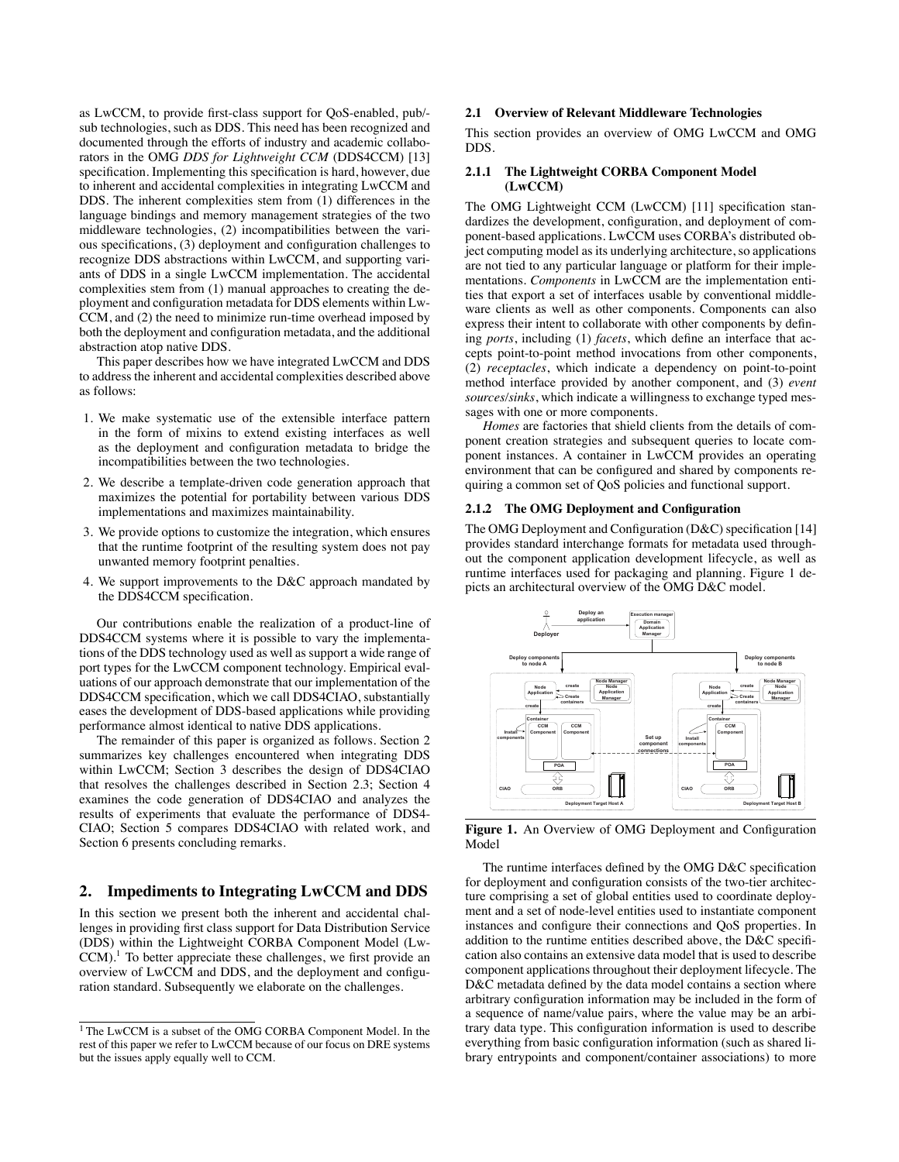as LwCCM, to provide first-class support for QoS-enabled, pub/ sub technologies, such as DDS. This need has been recognized and documented through the efforts of industry and academic collaborators in the OMG *DDS for Lightweight CCM* (DDS4CCM) [13] specification. Implementing this specification is hard, however, due to inherent and accidental complexities in integrating LwCCM and DDS. The inherent complexities stem from (1) differences in the language bindings and memory management strategies of the two middleware technologies, (2) incompatibilities between the various specifications, (3) deployment and configuration challenges to recognize DDS abstractions within LwCCM, and supporting variants of DDS in a single LwCCM implementation. The accidental complexities stem from (1) manual approaches to creating the deployment and configuration metadata for DDS elements within Lw-CCM, and (2) the need to minimize run-time overhead imposed by both the deployment and configuration metadata, and the additional abstraction atop native DDS.

This paper describes how we have integrated LwCCM and DDS to address the inherent and accidental complexities described above as follows:

- 1. We make systematic use of the extensible interface pattern in the form of mixins to extend existing interfaces as well as the deployment and configuration metadata to bridge the incompatibilities between the two technologies.
- 2. We describe a template-driven code generation approach that maximizes the potential for portability between various DDS implementations and maximizes maintainability.
- 3. We provide options to customize the integration, which ensures that the runtime footprint of the resulting system does not pay unwanted memory footprint penalties.
- 4. We support improvements to the D&C approach mandated by the DDS4CCM specification.

Our contributions enable the realization of a product-line of DDS4CCM systems where it is possible to vary the implementations of the DDS technology used as well as support a wide range of port types for the LwCCM component technology. Empirical evaluations of our approach demonstrate that our implementation of the DDS4CCM specification, which we call DDS4CIAO, substantially eases the development of DDS-based applications while providing performance almost identical to native DDS applications.

The remainder of this paper is organized as follows. Section 2 summarizes key challenges encountered when integrating DDS within LwCCM; Section 3 describes the design of DDS4CIAO that resolves the challenges described in Section 2.3; Section 4 examines the code generation of DDS4CIAO and analyzes the results of experiments that evaluate the performance of DDS4- CIAO; Section 5 compares DDS4CIAO with related work, and Section 6 presents concluding remarks.

## **2. Impediments to Integrating LwCCM and DDS**

In this section we present both the inherent and accidental challenges in providing first class support for Data Distribution Service (DDS) within the Lightweight CORBA Component Model (Lw- $CCM$ ).<sup>1</sup> To better appreciate these challenges, we first provide an overview of LwCCM and DDS, and the deployment and configuration standard. Subsequently we elaborate on the challenges.

## **2.1 Overview of Relevant Middleware Technologies**

This section provides an overview of OMG LwCCM and OMG DDS.

### **2.1.1 The Lightweight CORBA Component Model (LwCCM)**

The OMG Lightweight CCM (LwCCM) [11] specification standardizes the development, configuration, and deployment of component-based applications. LwCCM uses CORBA's distributed object computing model as its underlying architecture, so applications are not tied to any particular language or platform for their implementations. *Components* in LwCCM are the implementation entities that export a set of interfaces usable by conventional middleware clients as well as other components. Components can also express their intent to collaborate with other components by defining *ports*, including (1) *facets*, which define an interface that accepts point-to-point method invocations from other components, (2) *receptacles*, which indicate a dependency on point-to-point method interface provided by another component, and (3) *event sources/sinks*, which indicate a willingness to exchange typed messages with one or more components.

*Homes* are factories that shield clients from the details of component creation strategies and subsequent queries to locate component instances. A container in LwCCM provides an operating environment that can be configured and shared by components requiring a common set of QoS policies and functional support.

#### **2.1.2 The OMG Deployment and Configuration**

The OMG Deployment and Configuration (D&C) specification [14] provides standard interchange formats for metadata used throughout the component application development lifecycle, as well as runtime interfaces used for packaging and planning. Figure 1 depicts an architectural overview of the OMG D&C model.



**Figure 1.** An Overview of OMG Deployment and Configuration Model

The runtime interfaces defined by the OMG D&C specification for deployment and configuration consists of the two-tier architecture comprising a set of global entities used to coordinate deployment and a set of node-level entities used to instantiate component instances and configure their connections and QoS properties. In addition to the runtime entities described above, the D&C specification also contains an extensive data model that is used to describe component applications throughout their deployment lifecycle. The D&C metadata defined by the data model contains a section where arbitrary configuration information may be included in the form of a sequence of name/value pairs, where the value may be an arbitrary data type. This configuration information is used to describe everything from basic configuration information (such as shared library entrypoints and component/container associations) to more

<sup>1</sup> The LwCCM is a subset of the OMG CORBA Component Model. In the rest of this paper we refer to LwCCM because of our focus on DRE systems but the issues apply equally well to CCM.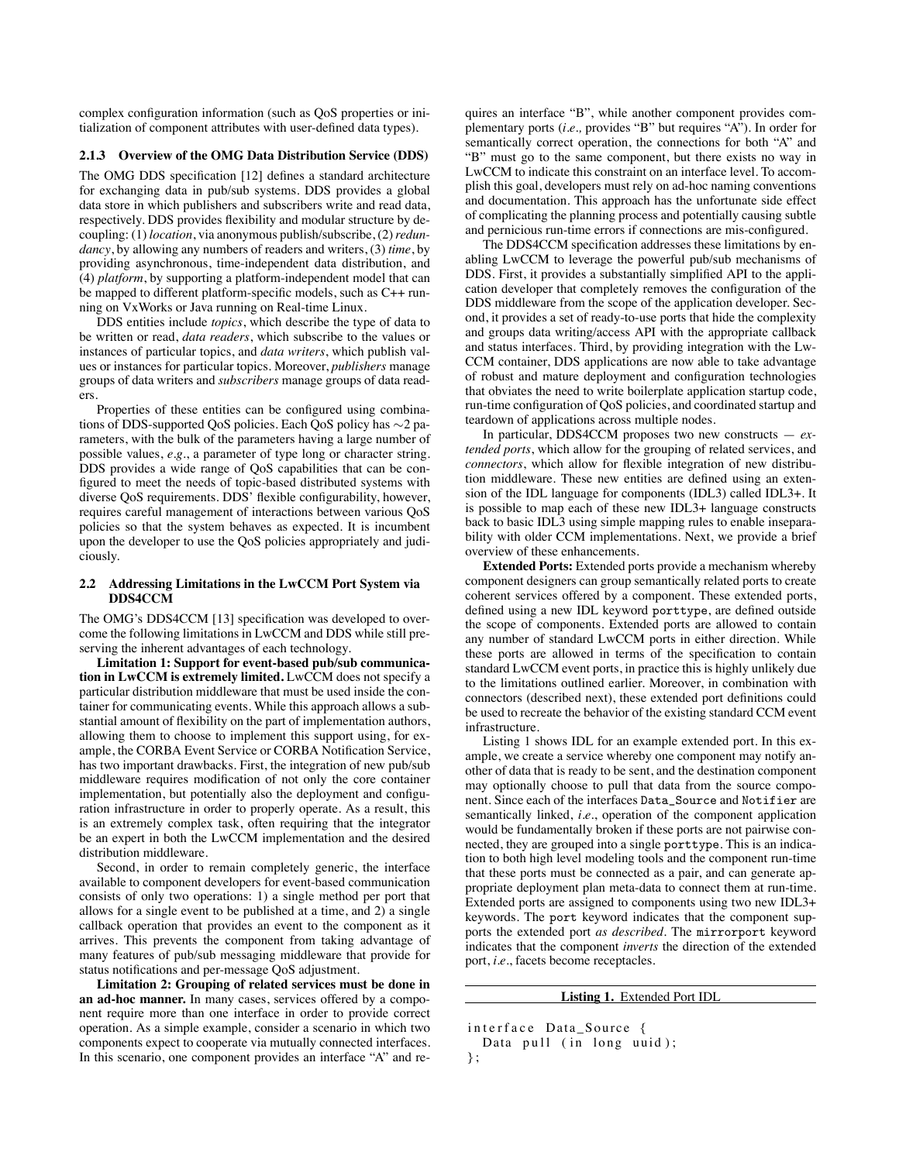complex configuration information (such as QoS properties or initialization of component attributes with user-defined data types).

#### **2.1.3 Overview of the OMG Data Distribution Service (DDS)**

The OMG DDS specification [12] defines a standard architecture for exchanging data in pub/sub systems. DDS provides a global data store in which publishers and subscribers write and read data, respectively. DDS provides flexibility and modular structure by decoupling: (1) *location*, via anonymous publish/subscribe, (2)*redundancy*, by allowing any numbers of readers and writers, (3) *time*, by providing asynchronous, time-independent data distribution, and (4) *platform*, by supporting a platform-independent model that can be mapped to different platform-specific models, such as C++ running on VxWorks or Java running on Real-time Linux.

DDS entities include *topics*, which describe the type of data to be written or read, *data readers*, which subscribe to the values or instances of particular topics, and *data writers*, which publish values or instances for particular topics. Moreover, *publishers* manage groups of data writers and *subscribers* manage groups of data readers.

Properties of these entities can be configured using combinations of DDS-supported QoS policies. Each QoS policy has ∼2 parameters, with the bulk of the parameters having a large number of possible values, *e.g.*, a parameter of type long or character string. DDS provides a wide range of QoS capabilities that can be configured to meet the needs of topic-based distributed systems with diverse QoS requirements. DDS' flexible configurability, however, requires careful management of interactions between various QoS policies so that the system behaves as expected. It is incumbent upon the developer to use the QoS policies appropriately and judiciously.

#### **2.2 Addressing Limitations in the LwCCM Port System via DDS4CCM**

The OMG's DDS4CCM [13] specification was developed to overcome the following limitations in LwCCM and DDS while still preserving the inherent advantages of each technology.

**Limitation 1: Support for event-based pub/sub communication in LwCCM is extremely limited.** LwCCM does not specify a particular distribution middleware that must be used inside the container for communicating events. While this approach allows a substantial amount of flexibility on the part of implementation authors, allowing them to choose to implement this support using, for example, the CORBA Event Service or CORBA Notification Service, has two important drawbacks. First, the integration of new pub/sub middleware requires modification of not only the core container implementation, but potentially also the deployment and configuration infrastructure in order to properly operate. As a result, this is an extremely complex task, often requiring that the integrator be an expert in both the LwCCM implementation and the desired distribution middleware.

Second, in order to remain completely generic, the interface available to component developers for event-based communication consists of only two operations: 1) a single method per port that allows for a single event to be published at a time, and 2) a single callback operation that provides an event to the component as it arrives. This prevents the component from taking advantage of many features of pub/sub messaging middleware that provide for status notifications and per-message QoS adjustment.

**Limitation 2: Grouping of related services must be done in an ad-hoc manner.** In many cases, services offered by a component require more than one interface in order to provide correct operation. As a simple example, consider a scenario in which two components expect to cooperate via mutually connected interfaces. In this scenario, one component provides an interface "A" and re-

quires an interface "B", while another component provides complementary ports (*i.e.,* provides "B" but requires "A"). In order for semantically correct operation, the connections for both "A" and "B" must go to the same component, but there exists no way in LwCCM to indicate this constraint on an interface level. To accomplish this goal, developers must rely on ad-hoc naming conventions and documentation. This approach has the unfortunate side effect of complicating the planning process and potentially causing subtle and pernicious run-time errors if connections are mis-configured.

The DDS4CCM specification addresses these limitations by enabling LwCCM to leverage the powerful pub/sub mechanisms of DDS. First, it provides a substantially simplified API to the application developer that completely removes the configuration of the DDS middleware from the scope of the application developer. Second, it provides a set of ready-to-use ports that hide the complexity and groups data writing/access API with the appropriate callback and status interfaces. Third, by providing integration with the Lw-CCM container, DDS applications are now able to take advantage of robust and mature deployment and configuration technologies that obviates the need to write boilerplate application startup code, run-time configuration of QoS policies, and coordinated startup and teardown of applications across multiple nodes.

In particular, DDS4CCM proposes two new constructs — *extended ports*, which allow for the grouping of related services, and *connectors*, which allow for flexible integration of new distribution middleware. These new entities are defined using an extension of the IDL language for components (IDL3) called IDL3+. It is possible to map each of these new IDL3+ language constructs back to basic IDL3 using simple mapping rules to enable inseparability with older CCM implementations. Next, we provide a brief overview of these enhancements.

**Extended Ports:** Extended ports provide a mechanism whereby component designers can group semantically related ports to create coherent services offered by a component. These extended ports, defined using a new IDL keyword porttype, are defined outside the scope of components. Extended ports are allowed to contain any number of standard LwCCM ports in either direction. While these ports are allowed in terms of the specification to contain standard LwCCM event ports, in practice this is highly unlikely due to the limitations outlined earlier. Moreover, in combination with connectors (described next), these extended port definitions could be used to recreate the behavior of the existing standard CCM event infrastructure.

Listing 1 shows IDL for an example extended port. In this example, we create a service whereby one component may notify another of data that is ready to be sent, and the destination component may optionally choose to pull that data from the source component. Since each of the interfaces Data\_Source and Notifier are semantically linked, *i.e.*, operation of the component application would be fundamentally broken if these ports are not pairwise connected, they are grouped into a single porttype. This is an indication to both high level modeling tools and the component run-time that these ports must be connected as a pair, and can generate appropriate deployment plan meta-data to connect them at run-time. Extended ports are assigned to components using two new IDL3+ keywords. The port keyword indicates that the component supports the extended port *as described*. The mirrorport keyword indicates that the component *inverts* the direction of the extended port, *i.e.*, facets become receptacles.

**Listing 1.** Extended Port IDL

```
interface Data_Source {
```

```
Data pull (in long uuid);
} ;
```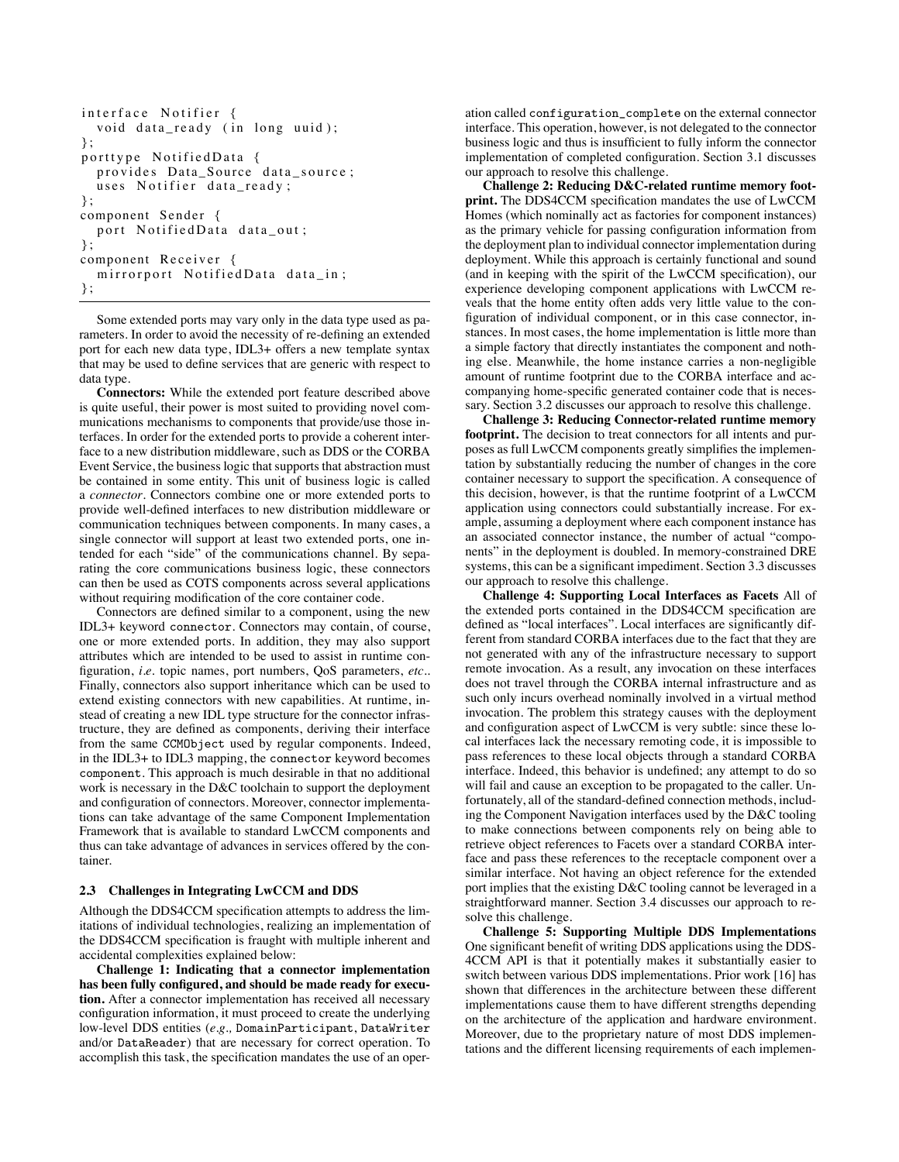```
interface Notifier {
  void data_ready ( in long uuid );
} ;
porttype NotifiedData {
  provides Data_Source data_source ;
  uses Notifier data_ready;
\} :
component Sender {
  port NotifiedData data_out ;
\} :
component Receiver {
  mirrorport NotifiedData data_in ;
\} ;
```
Some extended ports may vary only in the data type used as parameters. In order to avoid the necessity of re-defining an extended port for each new data type, IDL3+ offers a new template syntax that may be used to define services that are generic with respect to data type.

**Connectors:** While the extended port feature described above is quite useful, their power is most suited to providing novel communications mechanisms to components that provide/use those interfaces. In order for the extended ports to provide a coherent interface to a new distribution middleware, such as DDS or the CORBA Event Service, the business logic that supports that abstraction must be contained in some entity. This unit of business logic is called a *connector*. Connectors combine one or more extended ports to provide well-defined interfaces to new distribution middleware or communication techniques between components. In many cases, a single connector will support at least two extended ports, one intended for each "side" of the communications channel. By separating the core communications business logic, these connectors can then be used as COTS components across several applications without requiring modification of the core container code.

Connectors are defined similar to a component, using the new IDL3+ keyword connector. Connectors may contain, of course, one or more extended ports. In addition, they may also support attributes which are intended to be used to assist in runtime configuration, *i.e.* topic names, port numbers, QoS parameters, *etc.*. Finally, connectors also support inheritance which can be used to extend existing connectors with new capabilities. At runtime, instead of creating a new IDL type structure for the connector infrastructure, they are defined as components, deriving their interface from the same CCMObject used by regular components. Indeed, in the IDL3+ to IDL3 mapping, the connector keyword becomes component. This approach is much desirable in that no additional work is necessary in the D&C toolchain to support the deployment and configuration of connectors. Moreover, connector implementations can take advantage of the same Component Implementation Framework that is available to standard LwCCM components and thus can take advantage of advances in services offered by the container.

#### **2.3 Challenges in Integrating LwCCM and DDS**

Although the DDS4CCM specification attempts to address the limitations of individual technologies, realizing an implementation of the DDS4CCM specification is fraught with multiple inherent and accidental complexities explained below:

**Challenge 1: Indicating that a connector implementation has been fully configured, and should be made ready for execution.** After a connector implementation has received all necessary configuration information, it must proceed to create the underlying low-level DDS entities (*e.g.,* DomainParticipant, DataWriter and/or DataReader) that are necessary for correct operation. To accomplish this task, the specification mandates the use of an operation called configuration\_complete on the external connector interface. This operation, however, is not delegated to the connector business logic and thus is insufficient to fully inform the connector implementation of completed configuration. Section 3.1 discusses our approach to resolve this challenge.

**Challenge 2: Reducing D&C-related runtime memory footprint.** The DDS4CCM specification mandates the use of LwCCM Homes (which nominally act as factories for component instances) as the primary vehicle for passing configuration information from the deployment plan to individual connector implementation during deployment. While this approach is certainly functional and sound (and in keeping with the spirit of the LwCCM specification), our experience developing component applications with LwCCM reveals that the home entity often adds very little value to the configuration of individual component, or in this case connector, instances. In most cases, the home implementation is little more than a simple factory that directly instantiates the component and nothing else. Meanwhile, the home instance carries a non-negligible amount of runtime footprint due to the CORBA interface and accompanying home-specific generated container code that is necessary. Section 3.2 discusses our approach to resolve this challenge.

**Challenge 3: Reducing Connector-related runtime memory footprint.** The decision to treat connectors for all intents and purposes as full LwCCM components greatly simplifies the implementation by substantially reducing the number of changes in the core container necessary to support the specification. A consequence of this decision, however, is that the runtime footprint of a LwCCM application using connectors could substantially increase. For example, assuming a deployment where each component instance has an associated connector instance, the number of actual "components" in the deployment is doubled. In memory-constrained DRE systems, this can be a significant impediment. Section 3.3 discusses our approach to resolve this challenge.

**Challenge 4: Supporting Local Interfaces as Facets** All of the extended ports contained in the DDS4CCM specification are defined as "local interfaces". Local interfaces are significantly different from standard CORBA interfaces due to the fact that they are not generated with any of the infrastructure necessary to support remote invocation. As a result, any invocation on these interfaces does not travel through the CORBA internal infrastructure and as such only incurs overhead nominally involved in a virtual method invocation. The problem this strategy causes with the deployment and configuration aspect of LwCCM is very subtle: since these local interfaces lack the necessary remoting code, it is impossible to pass references to these local objects through a standard CORBA interface. Indeed, this behavior is undefined; any attempt to do so will fail and cause an exception to be propagated to the caller. Unfortunately, all of the standard-defined connection methods, including the Component Navigation interfaces used by the D&C tooling to make connections between components rely on being able to retrieve object references to Facets over a standard CORBA interface and pass these references to the receptacle component over a similar interface. Not having an object reference for the extended port implies that the existing D&C tooling cannot be leveraged in a straightforward manner. Section 3.4 discusses our approach to resolve this challenge.

**Challenge 5: Supporting Multiple DDS Implementations** One significant benefit of writing DDS applications using the DDS-4CCM API is that it potentially makes it substantially easier to switch between various DDS implementations. Prior work [16] has shown that differences in the architecture between these different implementations cause them to have different strengths depending on the architecture of the application and hardware environment. Moreover, due to the proprietary nature of most DDS implementations and the different licensing requirements of each implemen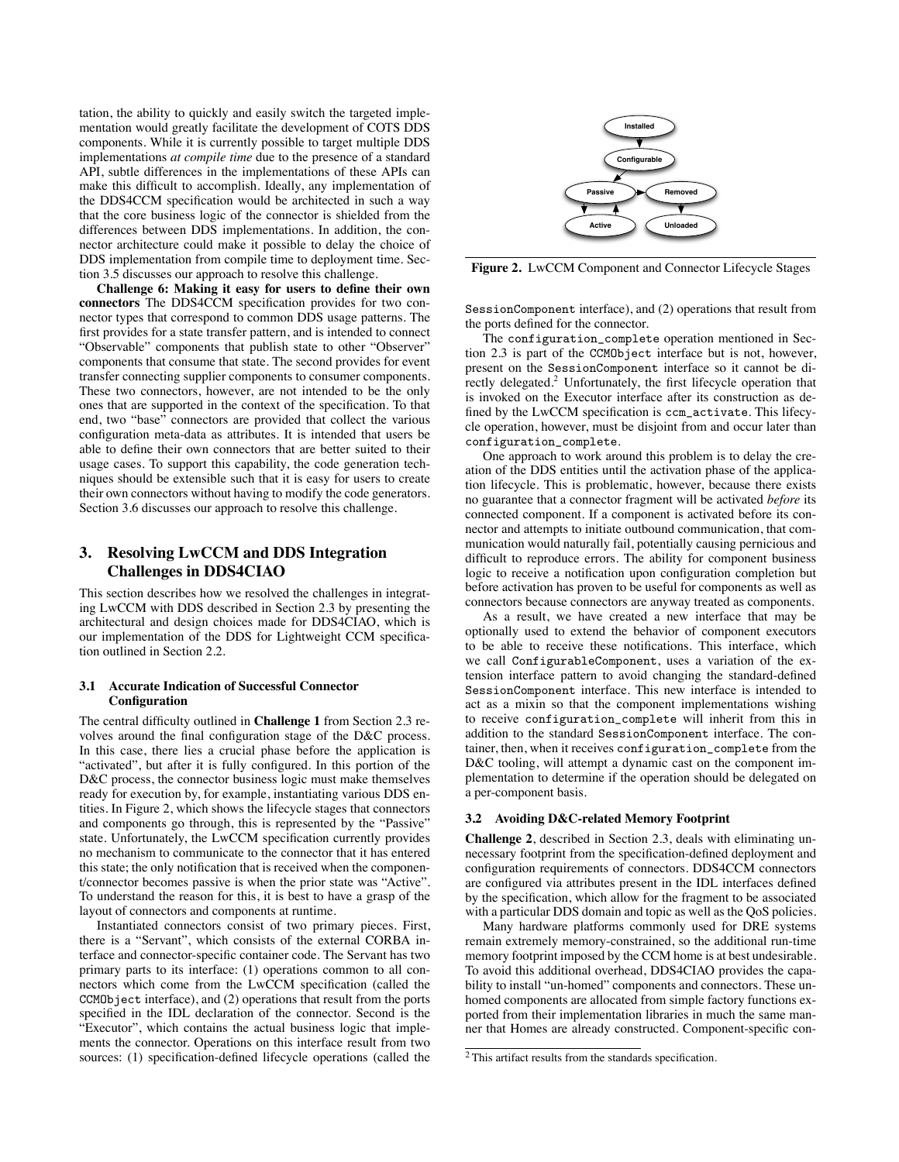tation, the ability to quickly and easily switch the targeted implementation would greatly facilitate the development of COTS DDS components. While it is currently possible to target multiple DDS implementations *at compile time* due to the presence of a standard API, subtle differences in the implementations of these APIs can make this difficult to accomplish. Ideally, any implementation of the DDS4CCM specification would be architected in such a way that the core business logic of the connector is shielded from the differences between DDS implementations. In addition, the connector architecture could make it possible to delay the choice of DDS implementation from compile time to deployment time. Section 3.5 discusses our approach to resolve this challenge.

**Challenge 6: Making it easy for users to define their own connectors** The DDS4CCM specification provides for two connector types that correspond to common DDS usage patterns. The first provides for a state transfer pattern, and is intended to connect "Observable" components that publish state to other "Observer" components that consume that state. The second provides for event transfer connecting supplier components to consumer components. These two connectors, however, are not intended to be the only ones that are supported in the context of the specification. To that end, two "base" connectors are provided that collect the various configuration meta-data as attributes. It is intended that users be able to define their own connectors that are better suited to their usage cases. To support this capability, the code generation techniques should be extensible such that it is easy for users to create their own connectors without having to modify the code generators. Section 3.6 discusses our approach to resolve this challenge.

# **3. Resolving LwCCM and DDS Integration Challenges in DDS4CIAO**

This section describes how we resolved the challenges in integrating LwCCM with DDS described in Section 2.3 by presenting the architectural and design choices made for DDS4CIAO, which is our implementation of the DDS for Lightweight CCM specification outlined in Section 2.2.

## **3.1 Accurate Indication of Successful Connector Configuration**

The central difficulty outlined in **Challenge 1** from Section 2.3 revolves around the final configuration stage of the D&C process. In this case, there lies a crucial phase before the application is "activated", but after it is fully configured. In this portion of the D&C process, the connector business logic must make themselves ready for execution by, for example, instantiating various DDS entities. In Figure 2, which shows the lifecycle stages that connectors and components go through, this is represented by the "Passive" state. Unfortunately, the LwCCM specification currently provides no mechanism to communicate to the connector that it has entered this state; the only notification that is received when the component/connector becomes passive is when the prior state was "Active". To understand the reason for this, it is best to have a grasp of the layout of connectors and components at runtime.

Instantiated connectors consist of two primary pieces. First, there is a "Servant", which consists of the external CORBA interface and connector-specific container code. The Servant has two primary parts to its interface: (1) operations common to all connectors which come from the LwCCM specification (called the CCMObject interface), and (2) operations that result from the ports specified in the IDL declaration of the connector. Second is the "Executor", which contains the actual business logic that implements the connector. Operations on this interface result from two sources: (1) specification-defined lifecycle operations (called the



**Figure 2.** LwCCM Component and Connector Lifecycle Stages

SessionComponent interface), and (2) operations that result from the ports defined for the connector.

The configuration\_complete operation mentioned in Section 2.3 is part of the CCMObject interface but is not, however, present on the SessionComponent interface so it cannot be directly delegated.<sup>2</sup> Unfortunately, the first lifecycle operation that is invoked on the Executor interface after its construction as defined by the LwCCM specification is ccm\_activate. This lifecycle operation, however, must be disjoint from and occur later than configuration\_complete.

One approach to work around this problem is to delay the creation of the DDS entities until the activation phase of the application lifecycle. This is problematic, however, because there exists no guarantee that a connector fragment will be activated *before* its connected component. If a component is activated before its connector and attempts to initiate outbound communication, that communication would naturally fail, potentially causing pernicious and difficult to reproduce errors. The ability for component business logic to receive a notification upon configuration completion but before activation has proven to be useful for components as well as connectors because connectors are anyway treated as components.

As a result, we have created a new interface that may be optionally used to extend the behavior of component executors to be able to receive these notifications. This interface, which we call ConfigurableComponent, uses a variation of the extension interface pattern to avoid changing the standard-defined SessionComponent interface. This new interface is intended to act as a mixin so that the component implementations wishing to receive configuration\_complete will inherit from this in addition to the standard SessionComponent interface. The container, then, when it receives configuration\_complete from the D&C tooling, will attempt a dynamic cast on the component implementation to determine if the operation should be delegated on a per-component basis.

## **3.2 Avoiding D&C-related Memory Footprint**

**Challenge 2**, described in Section 2.3, deals with eliminating unnecessary footprint from the specification-defined deployment and configuration requirements of connectors. DDS4CCM connectors are configured via attributes present in the IDL interfaces defined by the specification, which allow for the fragment to be associated with a particular DDS domain and topic as well as the QoS policies.

Many hardware platforms commonly used for DRE systems remain extremely memory-constrained, so the additional run-time memory footprint imposed by the CCM home is at best undesirable. To avoid this additional overhead, DDS4CIAO provides the capability to install "un-homed" components and connectors. These unhomed components are allocated from simple factory functions exported from their implementation libraries in much the same manner that Homes are already constructed. Component-specific con-

<sup>&</sup>lt;sup>2</sup> This artifact results from the standards specification.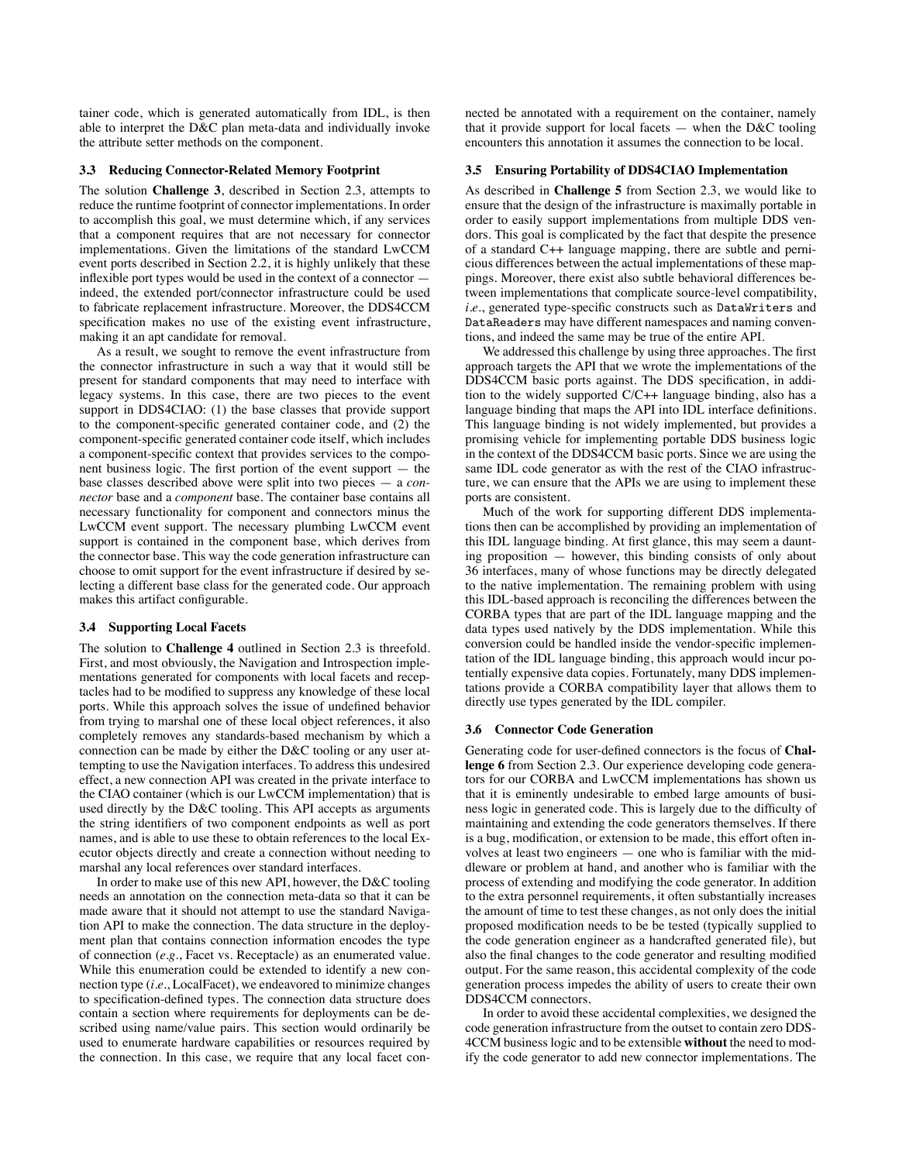tainer code, which is generated automatically from IDL, is then able to interpret the D&C plan meta-data and individually invoke the attribute setter methods on the component.

#### **3.3 Reducing Connector-Related Memory Footprint**

The solution **Challenge 3**, described in Section 2.3, attempts to reduce the runtime footprint of connector implementations. In order to accomplish this goal, we must determine which, if any services that a component requires that are not necessary for connector implementations. Given the limitations of the standard LwCCM event ports described in Section 2.2, it is highly unlikely that these inflexible port types would be used in the context of a connector indeed, the extended port/connector infrastructure could be used to fabricate replacement infrastructure. Moreover, the DDS4CCM specification makes no use of the existing event infrastructure, making it an apt candidate for removal.

As a result, we sought to remove the event infrastructure from the connector infrastructure in such a way that it would still be present for standard components that may need to interface with legacy systems. In this case, there are two pieces to the event support in DDS4CIAO: (1) the base classes that provide support to the component-specific generated container code, and (2) the component-specific generated container code itself, which includes a component-specific context that provides services to the component business logic. The first portion of the event support — the base classes described above were split into two pieces — a *connector* base and a *component* base. The container base contains all necessary functionality for component and connectors minus the LwCCM event support. The necessary plumbing LwCCM event support is contained in the component base, which derives from the connector base. This way the code generation infrastructure can choose to omit support for the event infrastructure if desired by selecting a different base class for the generated code. Our approach makes this artifact configurable.

## **3.4 Supporting Local Facets**

The solution to **Challenge 4** outlined in Section 2.3 is threefold. First, and most obviously, the Navigation and Introspection implementations generated for components with local facets and receptacles had to be modified to suppress any knowledge of these local ports. While this approach solves the issue of undefined behavior from trying to marshal one of these local object references, it also completely removes any standards-based mechanism by which a connection can be made by either the D&C tooling or any user attempting to use the Navigation interfaces. To address this undesired effect, a new connection API was created in the private interface to the CIAO container (which is our LwCCM implementation) that is used directly by the D&C tooling. This API accepts as arguments the string identifiers of two component endpoints as well as port names, and is able to use these to obtain references to the local Executor objects directly and create a connection without needing to marshal any local references over standard interfaces.

In order to make use of this new API, however, the D&C tooling needs an annotation on the connection meta-data so that it can be made aware that it should not attempt to use the standard Navigation API to make the connection. The data structure in the deployment plan that contains connection information encodes the type of connection (*e.g.*, Facet vs. Receptacle) as an enumerated value. While this enumeration could be extended to identify a new connection type (*i.e.*, LocalFacet), we endeavored to minimize changes to specification-defined types. The connection data structure does contain a section where requirements for deployments can be described using name/value pairs. This section would ordinarily be used to enumerate hardware capabilities or resources required by the connection. In this case, we require that any local facet connected be annotated with a requirement on the container, namely that it provide support for local facets — when the D&C tooling encounters this annotation it assumes the connection to be local.

#### **3.5 Ensuring Portability of DDS4CIAO Implementation**

As described in **Challenge 5** from Section 2.3, we would like to ensure that the design of the infrastructure is maximally portable in order to easily support implementations from multiple DDS vendors. This goal is complicated by the fact that despite the presence of a standard C++ language mapping, there are subtle and pernicious differences between the actual implementations of these mappings. Moreover, there exist also subtle behavioral differences between implementations that complicate source-level compatibility, *i.e.*, generated type-specific constructs such as DataWriters and DataReaders may have different namespaces and naming conventions, and indeed the same may be true of the entire API.

We addressed this challenge by using three approaches. The first approach targets the API that we wrote the implementations of the DDS4CCM basic ports against. The DDS specification, in addition to the widely supported C/C++ language binding, also has a language binding that maps the API into IDL interface definitions. This language binding is not widely implemented, but provides a promising vehicle for implementing portable DDS business logic in the context of the DDS4CCM basic ports. Since we are using the same IDL code generator as with the rest of the CIAO infrastructure, we can ensure that the APIs we are using to implement these ports are consistent.

Much of the work for supporting different DDS implementations then can be accomplished by providing an implementation of this IDL language binding. At first glance, this may seem a daunting proposition — however, this binding consists of only about 36 interfaces, many of whose functions may be directly delegated to the native implementation. The remaining problem with using this IDL-based approach is reconciling the differences between the CORBA types that are part of the IDL language mapping and the data types used natively by the DDS implementation. While this conversion could be handled inside the vendor-specific implementation of the IDL language binding, this approach would incur potentially expensive data copies. Fortunately, many DDS implementations provide a CORBA compatibility layer that allows them to directly use types generated by the IDL compiler.

#### **3.6 Connector Code Generation**

Generating code for user-defined connectors is the focus of **Challenge 6** from Section 2.3. Our experience developing code generators for our CORBA and LwCCM implementations has shown us that it is eminently undesirable to embed large amounts of business logic in generated code. This is largely due to the difficulty of maintaining and extending the code generators themselves. If there is a bug, modification, or extension to be made, this effort often involves at least two engineers — one who is familiar with the middleware or problem at hand, and another who is familiar with the process of extending and modifying the code generator. In addition to the extra personnel requirements, it often substantially increases the amount of time to test these changes, as not only does the initial proposed modification needs to be be tested (typically supplied to the code generation engineer as a handcrafted generated file), but also the final changes to the code generator and resulting modified output. For the same reason, this accidental complexity of the code generation process impedes the ability of users to create their own DDS4CCM connectors.

In order to avoid these accidental complexities, we designed the code generation infrastructure from the outset to contain zero DDS-4CCM business logic and to be extensible **without** the need to modify the code generator to add new connector implementations. The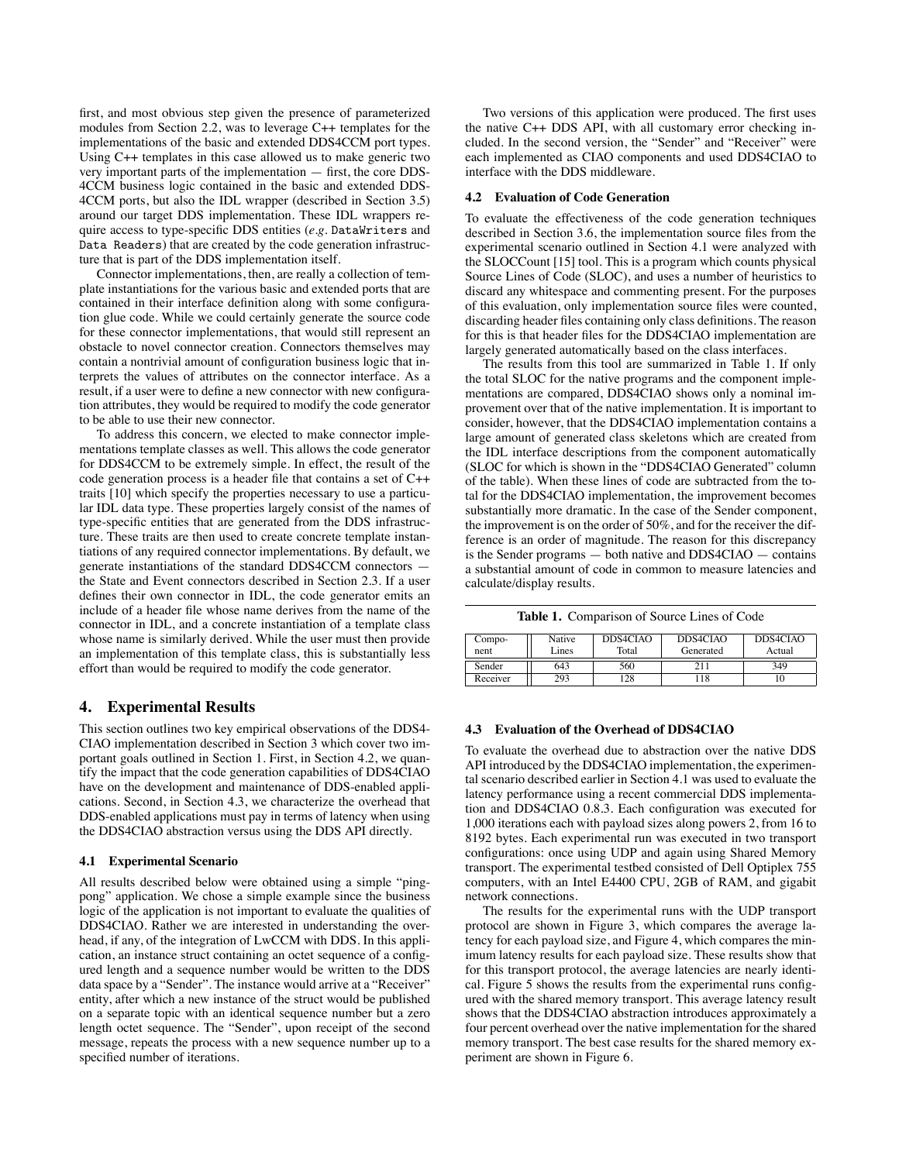first, and most obvious step given the presence of parameterized modules from Section 2.2, was to leverage C++ templates for the implementations of the basic and extended DDS4CCM port types. Using C++ templates in this case allowed us to make generic two very important parts of the implementation — first, the core DDS-4CCM business logic contained in the basic and extended DDS-4CCM ports, but also the IDL wrapper (described in Section 3.5) around our target DDS implementation. These IDL wrappers require access to type-specific DDS entities (*e.g.* DataWriters and Data Readers) that are created by the code generation infrastructure that is part of the DDS implementation itself.

Connector implementations, then, are really a collection of template instantiations for the various basic and extended ports that are contained in their interface definition along with some configuration glue code. While we could certainly generate the source code for these connector implementations, that would still represent an obstacle to novel connector creation. Connectors themselves may contain a nontrivial amount of configuration business logic that interprets the values of attributes on the connector interface. As a result, if a user were to define a new connector with new configuration attributes, they would be required to modify the code generator to be able to use their new connector.

To address this concern, we elected to make connector implementations template classes as well. This allows the code generator for DDS4CCM to be extremely simple. In effect, the result of the code generation process is a header file that contains a set of C++ traits [10] which specify the properties necessary to use a particular IDL data type. These properties largely consist of the names of type-specific entities that are generated from the DDS infrastructure. These traits are then used to create concrete template instantiations of any required connector implementations. By default, we generate instantiations of the standard DDS4CCM connectors the State and Event connectors described in Section 2.3. If a user defines their own connector in IDL, the code generator emits an include of a header file whose name derives from the name of the connector in IDL, and a concrete instantiation of a template class whose name is similarly derived. While the user must then provide an implementation of this template class, this is substantially less effort than would be required to modify the code generator.

## **4. Experimental Results**

This section outlines two key empirical observations of the DDS4- CIAO implementation described in Section 3 which cover two important goals outlined in Section 1. First, in Section 4.2, we quantify the impact that the code generation capabilities of DDS4CIAO have on the development and maintenance of DDS-enabled applications. Second, in Section 4.3, we characterize the overhead that DDS-enabled applications must pay in terms of latency when using the DDS4CIAO abstraction versus using the DDS API directly.

#### **4.1 Experimental Scenario**

All results described below were obtained using a simple "pingpong" application. We chose a simple example since the business logic of the application is not important to evaluate the qualities of DDS4CIAO. Rather we are interested in understanding the overhead, if any, of the integration of LwCCM with DDS. In this application, an instance struct containing an octet sequence of a configured length and a sequence number would be written to the DDS data space by a "Sender". The instance would arrive at a "Receiver" entity, after which a new instance of the struct would be published on a separate topic with an identical sequence number but a zero length octet sequence. The "Sender", upon receipt of the second message, repeats the process with a new sequence number up to a specified number of iterations.

Two versions of this application were produced. The first uses the native C++ DDS API, with all customary error checking included. In the second version, the "Sender" and "Receiver" were each implemented as CIAO components and used DDS4CIAO to interface with the DDS middleware.

#### **4.2 Evaluation of Code Generation**

To evaluate the effectiveness of the code generation techniques described in Section 3.6, the implementation source files from the experimental scenario outlined in Section 4.1 were analyzed with the SLOCCount [15] tool. This is a program which counts physical Source Lines of Code (SLOC), and uses a number of heuristics to discard any whitespace and commenting present. For the purposes of this evaluation, only implementation source files were counted, discarding header files containing only class definitions. The reason for this is that header files for the DDS4CIAO implementation are largely generated automatically based on the class interfaces.

The results from this tool are summarized in Table 1. If only the total SLOC for the native programs and the component implementations are compared, DDS4CIAO shows only a nominal improvement over that of the native implementation. It is important to consider, however, that the DDS4CIAO implementation contains a large amount of generated class skeletons which are created from the IDL interface descriptions from the component automatically (SLOC for which is shown in the "DDS4CIAO Generated" column of the table). When these lines of code are subtracted from the total for the DDS4CIAO implementation, the improvement becomes substantially more dramatic. In the case of the Sender component, the improvement is on the order of 50%, and for the receiver the difference is an order of magnitude. The reason for this discrepancy is the Sender programs — both native and DDS4CIAO — contains a substantial amount of code in common to measure latencies and calculate/display results.

**Table 1.** Comparison of Source Lines of Code

| Compo-<br>nent | Native<br>Lines | DDS4CIAO<br>Total | DDS4CIAO<br>Generated | DDS4CIAO<br>Actual |
|----------------|-----------------|-------------------|-----------------------|--------------------|
| Sender         | 643             | 560               | 211                   | 349                |
| Receiver       | 293             | 28                | 18                    |                    |

#### **4.3 Evaluation of the Overhead of DDS4CIAO**

To evaluate the overhead due to abstraction over the native DDS API introduced by the DDS4CIAO implementation, the experimental scenario described earlier in Section 4.1 was used to evaluate the latency performance using a recent commercial DDS implementation and DDS4CIAO 0.8.3. Each configuration was executed for 1,000 iterations each with payload sizes along powers 2, from 16 to 8192 bytes. Each experimental run was executed in two transport configurations: once using UDP and again using Shared Memory transport. The experimental testbed consisted of Dell Optiplex 755 computers, with an Intel E4400 CPU, 2GB of RAM, and gigabit network connections.

The results for the experimental runs with the UDP transport protocol are shown in Figure 3, which compares the average latency for each payload size, and Figure 4, which compares the minimum latency results for each payload size. These results show that for this transport protocol, the average latencies are nearly identical. Figure 5 shows the results from the experimental runs configured with the shared memory transport. This average latency result shows that the DDS4CIAO abstraction introduces approximately a four percent overhead over the native implementation for the shared memory transport. The best case results for the shared memory experiment are shown in Figure 6.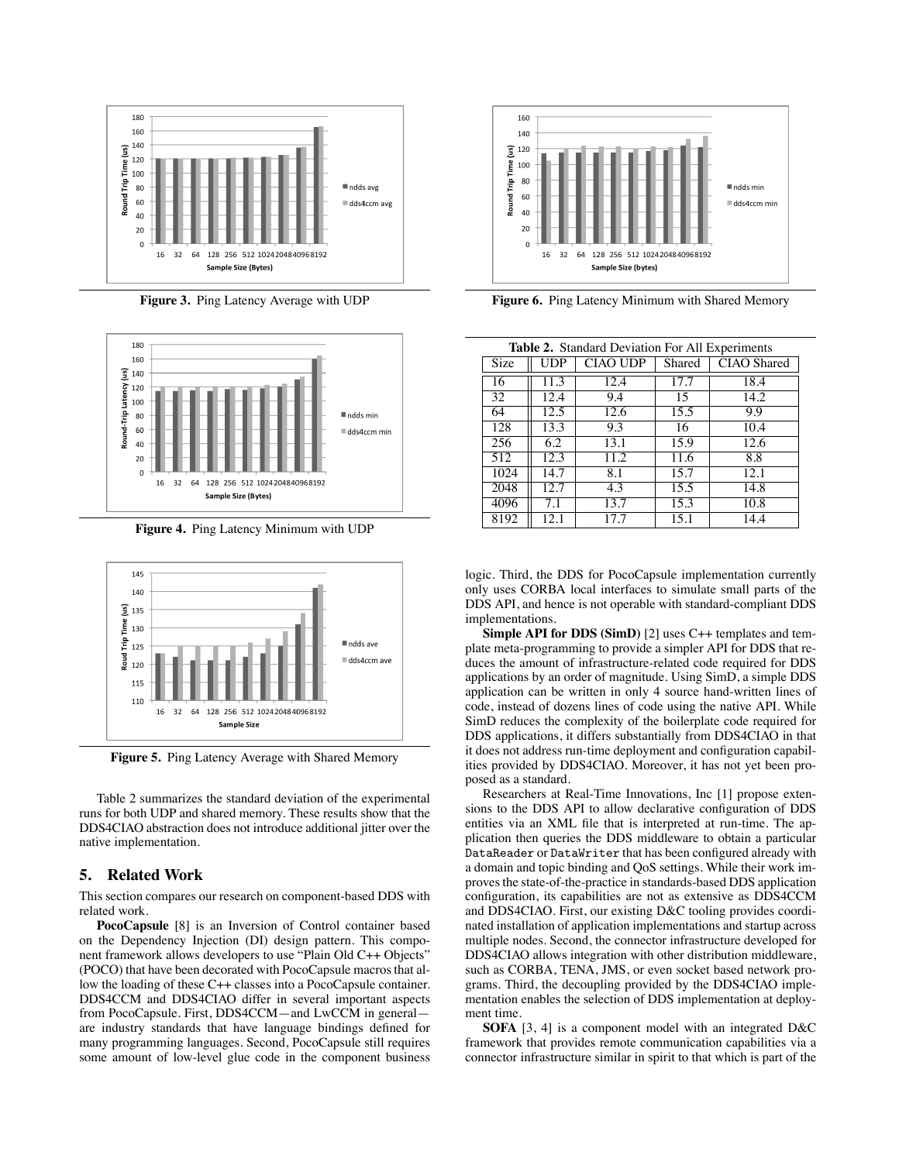

**Figure 3.** Ping Latency Average with UDP



**Figure 4.** Ping Latency Minimum with UDP



**Figure 5.** Ping Latency Average with Shared Memory

Table 2 summarizes the standard deviation of the experimental runs for both UDP and shared memory. These results show that the DDS4CIAO abstraction does not introduce additional jitter over the native implementation.

## **5. Related Work**

This section compares our research on component-based DDS with related work.

**PocoCapsule** [8] is an Inversion of Control container based on the Dependency Injection (DI) design pattern. This component framework allows developers to use "Plain Old C++ Objects" (POCO) that have been decorated with PocoCapsule macros that allow the loading of these C++ classes into a PocoCapsule container. DDS4CCM and DDS4CIAO differ in several important aspects from PocoCapsule. First, DDS4CCM—and LwCCM in general are industry standards that have language bindings defined for many programming languages. Second, PocoCapsule still requires some amount of low-level glue code in the component business



**Figure 6.** Ping Latency Minimum with Shared Memory

| Table 2. Standard Deviation For All Experiments |                   |                   |                   |                    |  |  |
|-------------------------------------------------|-------------------|-------------------|-------------------|--------------------|--|--|
| Size                                            | UDP               | <b>CIAO UDP</b>   | Shared            | <b>CIAO</b> Shared |  |  |
| 16                                              | $11.\overline{3}$ | 12.4              | 17.7              | 18.4               |  |  |
| 32                                              | 12.4              | 9.4               | 15                | 14.2               |  |  |
| 64                                              | 12.5              | $\overline{12.6}$ | 15.5              | 9.9                |  |  |
| 128                                             | 13.3              | $9\overline{3}$   | 16                | 10.4               |  |  |
| 256                                             | 6.2               | 13.1              | 15.9              | 12.6               |  |  |
| 512                                             | 12.3              | 11.2              | $\overline{11.6}$ | 8.8                |  |  |
| 1024                                            | 14.7              | 8.1               | 15.7              | 12.1               |  |  |
| 2048                                            | 12.7              | 4.3               | 15.5              | 14.8               |  |  |
| 4096                                            | 7.1               | 13.7              | 15.3              | 10.8               |  |  |
| 8192                                            | 12.1              | 177               | 15.1              | 14.4               |  |  |

logic. Third, the DDS for PocoCapsule implementation currently only uses CORBA local interfaces to simulate small parts of the DDS API, and hence is not operable with standard-compliant DDS implementations.

**Simple API for DDS (SimD)** [2] uses C++ templates and template meta-programming to provide a simpler API for DDS that reduces the amount of infrastructure-related code required for DDS applications by an order of magnitude. Using SimD, a simple DDS application can be written in only 4 source hand-written lines of code, instead of dozens lines of code using the native API. While SimD reduces the complexity of the boilerplate code required for DDS applications, it differs substantially from DDS4CIAO in that it does not address run-time deployment and configuration capabilities provided by DDS4CIAO. Moreover, it has not yet been proposed as a standard.

Researchers at Real-Time Innovations, Inc [1] propose extensions to the DDS API to allow declarative configuration of DDS entities via an XML file that is interpreted at run-time. The application then queries the DDS middleware to obtain a particular DataReader or DataWriter that has been configured already with a domain and topic binding and QoS settings. While their work improves the state-of-the-practice in standards-based DDS application configuration, its capabilities are not as extensive as DDS4CCM and DDS4CIAO. First, our existing D&C tooling provides coordinated installation of application implementations and startup across multiple nodes. Second, the connector infrastructure developed for DDS4CIAO allows integration with other distribution middleware, such as CORBA, TENA, JMS, or even socket based network programs. Third, the decoupling provided by the DDS4CIAO implementation enables the selection of DDS implementation at deployment time.

**SOFA** [3, 4] is a component model with an integrated D&C framework that provides remote communication capabilities via a connector infrastructure similar in spirit to that which is part of the